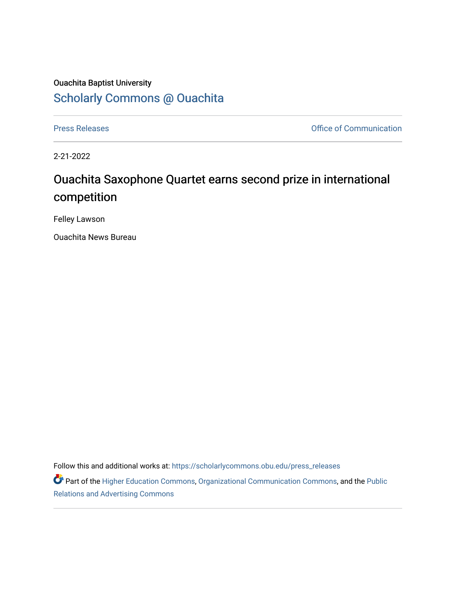## Ouachita Baptist University [Scholarly Commons @ Ouachita](https://scholarlycommons.obu.edu/)

[Press Releases](https://scholarlycommons.obu.edu/press_releases) **Press Releases Communication** 

2-21-2022

## Ouachita Saxophone Quartet earns second prize in international competition

Felley Lawson

Ouachita News Bureau

Follow this and additional works at: [https://scholarlycommons.obu.edu/press\\_releases](https://scholarlycommons.obu.edu/press_releases?utm_source=scholarlycommons.obu.edu%2Fpress_releases%2F1059&utm_medium=PDF&utm_campaign=PDFCoverPages)

Part of the [Higher Education Commons,](http://network.bepress.com/hgg/discipline/1245?utm_source=scholarlycommons.obu.edu%2Fpress_releases%2F1059&utm_medium=PDF&utm_campaign=PDFCoverPages) [Organizational Communication Commons,](http://network.bepress.com/hgg/discipline/335?utm_source=scholarlycommons.obu.edu%2Fpress_releases%2F1059&utm_medium=PDF&utm_campaign=PDFCoverPages) and the [Public](http://network.bepress.com/hgg/discipline/336?utm_source=scholarlycommons.obu.edu%2Fpress_releases%2F1059&utm_medium=PDF&utm_campaign=PDFCoverPages) [Relations and Advertising Commons](http://network.bepress.com/hgg/discipline/336?utm_source=scholarlycommons.obu.edu%2Fpress_releases%2F1059&utm_medium=PDF&utm_campaign=PDFCoverPages)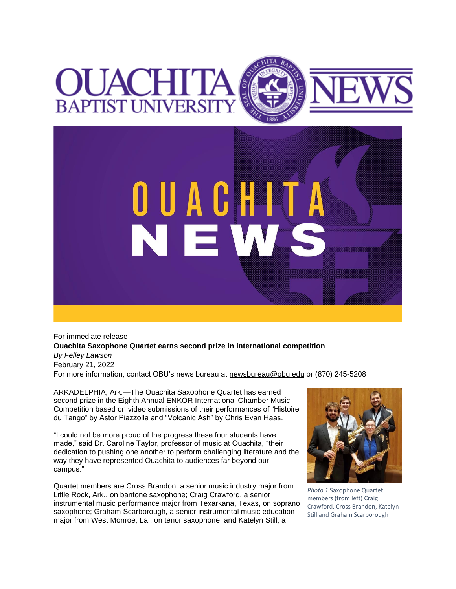## OUACHI'I **BAPTIST UNIVERSI**



For immediate release **Ouachita Saxophone Quartet earns second prize in international competition** *By Felley Lawson* February 21, 2022 For more information, contact OBU's news bureau at [newsbureau@obu.edu](mailto:newsbureau@obu.edu) or (870) 245-5208

ARKADELPHIA, Ark.—The Ouachita Saxophone Quartet has earned second prize in the Eighth Annual ENKOR International Chamber Music Competition based on video submissions of their performances of "Histoire du Tango" by Astor Piazzolla and "Volcanic Ash" by Chris Evan Haas.

"I could not be more proud of the progress these four students have made," said Dr. Caroline Taylor, professor of music at Ouachita, "their dedication to pushing one another to perform challenging literature and the way they have represented Ouachita to audiences far beyond our campus."

Quartet members are Cross Brandon, a senior music industry major from Little Rock, Ark., on baritone saxophone; Craig Crawford, a senior instrumental music performance major from Texarkana, Texas, on soprano saxophone; Graham Scarborough, a senior instrumental music education major from West Monroe, La., on tenor saxophone; and Katelyn Still, a



*Photo 1* Saxophone Quartet members (from left) Craig Crawford, Cross Brandon, Katelyn Still and Graham Scarborough